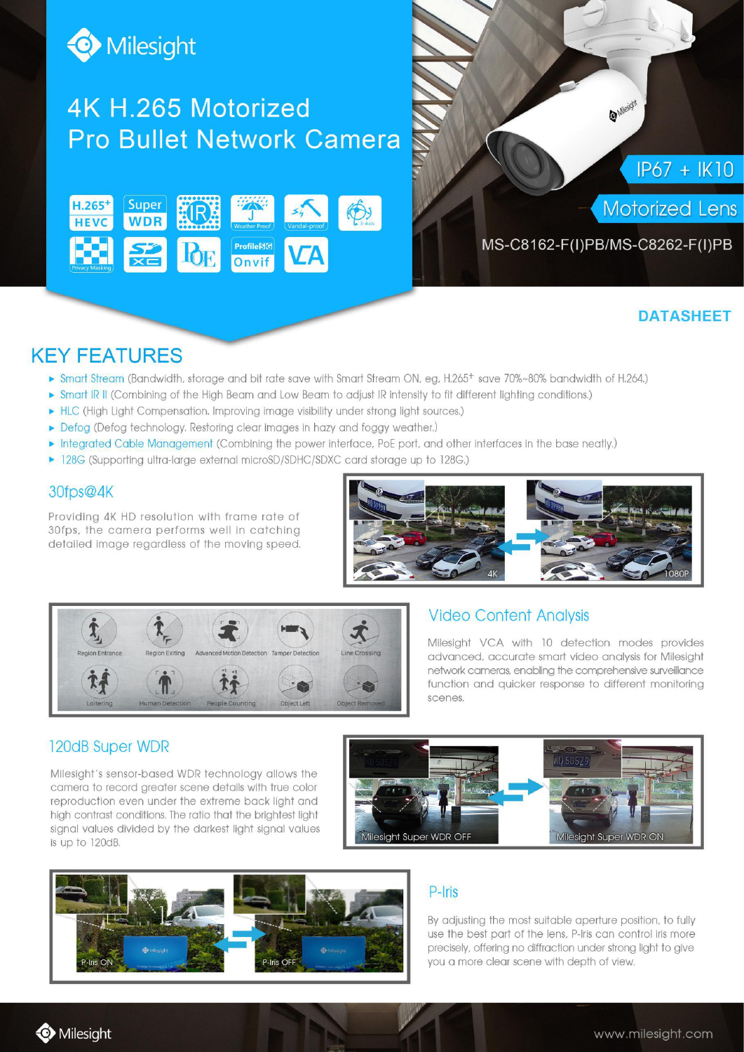

# 4K H.265 Motorized **Pro Bullet Network Camera**





### **DATASHEET**

## **KEY FEATURES**

- ► Smart Stream (Bandwidth, storage and bit rate save with Smart Stream ON, eg, H.265<sup>+</sup> save 70%~80% bandwidth of H.264.)
- Smart IR II (Combining of the High Beam and Low Beam to adjust IR intensity to fit different lighting conditions.)
- HLC (High Light Compensation. Improving image visibility under strong light sources.)
- Defog (Defog technology. Restoring clear images in hazy and foggy weather.)
- Integrated Cable Management (Combining the power interface, PoE port, and other interfaces in the base neatly.)
- 128G (Supporting ultra-large external microSD/SDHC/SDXC card storage up to 128G.)

#### 30fps@4K

Providing 4K HD resolution with frame rate of 30fps, the camera performs well in catching detailed image regardless of the moving speed.





#### **Video Content Analysis**

Milesight VCA with 10 detection modes provides advanced, accurate smart video analysis for Milesiaht network cameras, enablina the comprehensive surveillance function and quicker response to different monitoring scenes.

#### 120dB Super WDR

Milesight's sensor-based WDR technology allows the camera to record greater scene details with true color reproduction even under the extreme back light and high contrast conditions. The ratio that the brightest light signal values divided by the darkest light signal values is up to 120dB.





#### P-Iris

By adjusting the most suitable aperture position, to fully use the best part of the lens, P-Iris can control iris more precisely, offering no diffraction under strong light to give you a more clear scene with depth of view.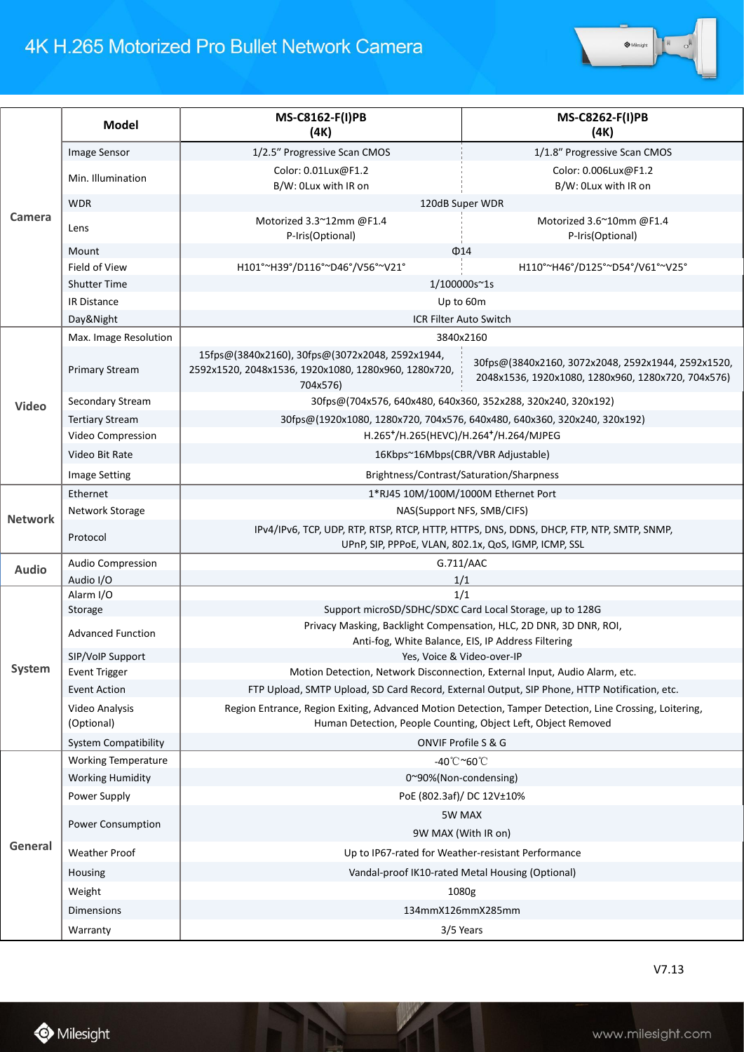# 4K H.265 Motorized Pro Bullet Network Camera



| Camera         | <b>Model</b>                 | MS-C8162-F(I)PB<br>(4K)                                                                                                                                                  | MS-C8262-F(I)PB<br>(4K)                                                                                  |
|----------------|------------------------------|--------------------------------------------------------------------------------------------------------------------------------------------------------------------------|----------------------------------------------------------------------------------------------------------|
|                | Image Sensor                 | 1/2.5" Progressive Scan CMOS                                                                                                                                             | 1/1.8" Progressive Scan CMOS                                                                             |
|                | Min. Illumination            | Color: 0.01Lux@F1.2<br>B/W: 0Lux with IR on                                                                                                                              | Color: 0.006Lux@F1.2<br>B/W: OLux with IR on                                                             |
|                | <b>WDR</b>                   | 120dB Super WDR                                                                                                                                                          |                                                                                                          |
|                | Lens                         | Motorized 3.3~12mm @F1.4<br>P-Iris(Optional)                                                                                                                             | Motorized 3.6~10mm @F1.4<br>P-Iris(Optional)                                                             |
|                | Mount                        | $\Phi$ 14                                                                                                                                                                |                                                                                                          |
|                | Field of View                | H101°~H39°/D116°~D46°/V56°~V21°                                                                                                                                          | H110°~H46°/D125°~D54°/V61°~V25°                                                                          |
|                | <b>Shutter Time</b>          | 1/100000s~1s                                                                                                                                                             |                                                                                                          |
|                | IR Distance                  | Up to 60m                                                                                                                                                                |                                                                                                          |
|                | Day&Night                    | ICR Filter Auto Switch                                                                                                                                                   |                                                                                                          |
| Video          | Max. Image Resolution        | 3840x2160                                                                                                                                                                |                                                                                                          |
|                | <b>Primary Stream</b>        | 15fps@(3840x2160), 30fps@(3072x2048, 2592x1944,<br>2592x1520, 2048x1536, 1920x1080, 1280x960, 1280x720,<br>704x576)                                                      | 30fps@(3840x2160, 3072x2048, 2592x1944, 2592x1520,<br>2048x1536, 1920x1080, 1280x960, 1280x720, 704x576) |
|                | Secondary Stream             | 30fps@(704x576, 640x480, 640x360, 352x288, 320x240, 320x192)                                                                                                             |                                                                                                          |
|                | <b>Tertiary Stream</b>       | 30fps@(1920x1080, 1280x720, 704x576, 640x480, 640x360, 320x240, 320x192)                                                                                                 |                                                                                                          |
|                | Video Compression            | H.265+/H.265(HEVC)/H.264+/H.264/MJPEG                                                                                                                                    |                                                                                                          |
|                | Video Bit Rate               | 16Kbps~16Mbps(CBR/VBR Adjustable)                                                                                                                                        |                                                                                                          |
|                | <b>Image Setting</b>         | Brightness/Contrast/Saturation/Sharpness                                                                                                                                 |                                                                                                          |
| <b>Network</b> | Ethernet                     | 1*RJ45 10M/100M/1000M Ethernet Port                                                                                                                                      |                                                                                                          |
|                | Network Storage              | NAS(Support NFS, SMB/CIFS)                                                                                                                                               |                                                                                                          |
|                | Protocol                     | IPv4/IPv6, TCP, UDP, RTP, RTSP, RTCP, HTTP, HTTPS, DNS, DDNS, DHCP, FTP, NTP, SMTP, SNMP,<br>UPnP, SIP, PPPoE, VLAN, 802.1x, QoS, IGMP, ICMP, SSL                        |                                                                                                          |
| <b>Audio</b>   | Audio Compression            | G.711/AAC                                                                                                                                                                |                                                                                                          |
| System         | Audio I/O                    | 1/1                                                                                                                                                                      |                                                                                                          |
|                | Alarm I/O                    | 1/1                                                                                                                                                                      |                                                                                                          |
|                | Storage                      | Support microSD/SDHC/SDXC Card Local Storage, up to 128G<br>Privacy Masking, Backlight Compensation, HLC, 2D DNR, 3D DNR, ROI,                                           |                                                                                                          |
|                | <b>Advanced Function</b>     | Anti-fog, White Balance, EIS, IP Address Filtering                                                                                                                       |                                                                                                          |
|                | SIP/VoIP Support             | Yes, Voice & Video-over-IP                                                                                                                                               |                                                                                                          |
|                | <b>Event Trigger</b>         | Motion Detection, Network Disconnection, External Input, Audio Alarm, etc.                                                                                               |                                                                                                          |
|                | <b>Event Action</b>          | FTP Upload, SMTP Upload, SD Card Record, External Output, SIP Phone, HTTP Notification, etc.                                                                             |                                                                                                          |
|                | Video Analysis<br>(Optional) | Region Entrance, Region Exiting, Advanced Motion Detection, Tamper Detection, Line Crossing, Loitering,<br>Human Detection, People Counting, Object Left, Object Removed |                                                                                                          |
|                | <b>System Compatibility</b>  | ONVIF Profile S & G                                                                                                                                                      |                                                                                                          |
| General        | <b>Working Temperature</b>   | -40°C~60°C                                                                                                                                                               |                                                                                                          |
|                | <b>Working Humidity</b>      | 0~90%(Non-condensing)                                                                                                                                                    |                                                                                                          |
|                | Power Supply                 | PoE (802.3af)/ DC 12V±10%                                                                                                                                                |                                                                                                          |
|                | Power Consumption            | 5W MAX<br>9W MAX (With IR on)                                                                                                                                            |                                                                                                          |
|                | <b>Weather Proof</b>         | Up to IP67-rated for Weather-resistant Performance                                                                                                                       |                                                                                                          |
|                | Housing                      | Vandal-proof IK10-rated Metal Housing (Optional)                                                                                                                         |                                                                                                          |
|                | Weight                       | 1080g                                                                                                                                                                    |                                                                                                          |
|                | Dimensions                   | 134mmX126mmX285mm                                                                                                                                                        |                                                                                                          |
|                |                              |                                                                                                                                                                          |                                                                                                          |
|                | Warranty                     | 3/5 Years                                                                                                                                                                |                                                                                                          |